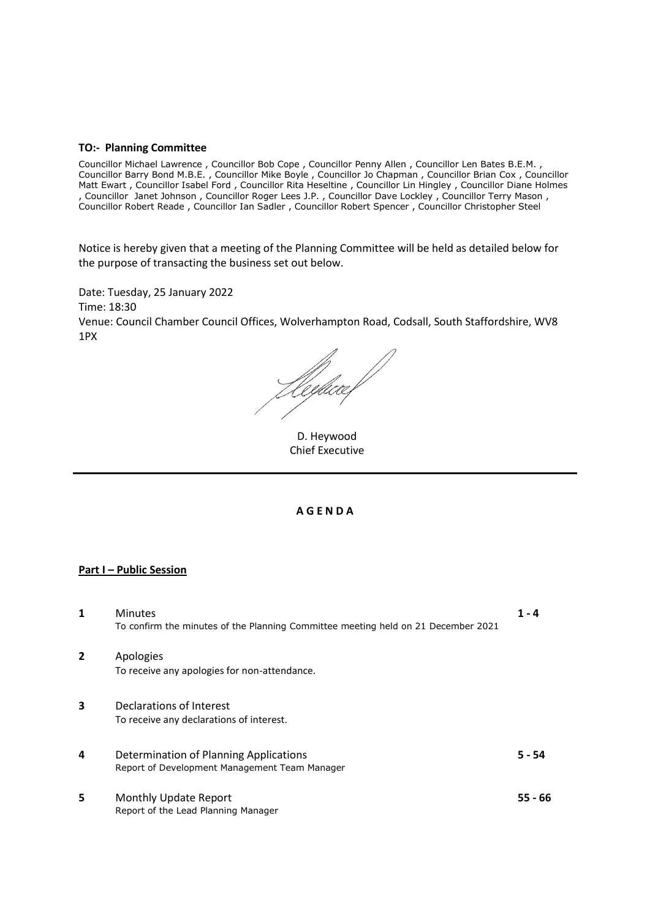#### **TO:- Planning Committee**

Councillor Michael Lawrence , Councillor Bob Cope , Councillor Penny Allen , Councillor Len Bates B.E.M. , Councillor Barry Bond M.B.E. , Councillor Mike Boyle , Councillor Jo Chapman , Councillor Brian Cox , Councillor Matt Ewart , Councillor Isabel Ford , Councillor Rita Heseltine , Councillor Lin Hingley , Councillor Diane Holmes , Councillor Janet Johnson , Councillor Roger Lees J.P. , Councillor Dave Lockley , Councillor Terry Mason , Councillor Robert Reade , Councillor Ian Sadler , Councillor Robert Spencer , Councillor Christopher Steel

Notice is hereby given that a meeting of the Planning Committee will be held as detailed below for the purpose of transacting the business set out below.

Date: Tuesday, 25 January 2022 Time: 18:30 Venue: Council Chamber Council Offices, Wolverhampton Road, Codsall, South Staffordshire, WV8 1PX

Heybece f

D. Heywood Chief Executive

#### **A G E N D A**

### **Part I – Public Session**

| 1              | <b>Minutes</b>                                                                    | $1 - 4$  |
|----------------|-----------------------------------------------------------------------------------|----------|
|                | To confirm the minutes of the Planning Committee meeting held on 21 December 2021 |          |
| $\overline{2}$ | Apologies                                                                         |          |
|                | To receive any apologies for non-attendance.                                      |          |
| 3              | Declarations of Interest                                                          |          |
|                | To receive any declarations of interest.                                          |          |
| 4              | Determination of Planning Applications                                            | $5 - 54$ |
|                | Report of Development Management Team Manager                                     |          |
| 5              | Monthly Update Report                                                             | 55 - 66  |
|                | Report of the Lead Planning Manager                                               |          |